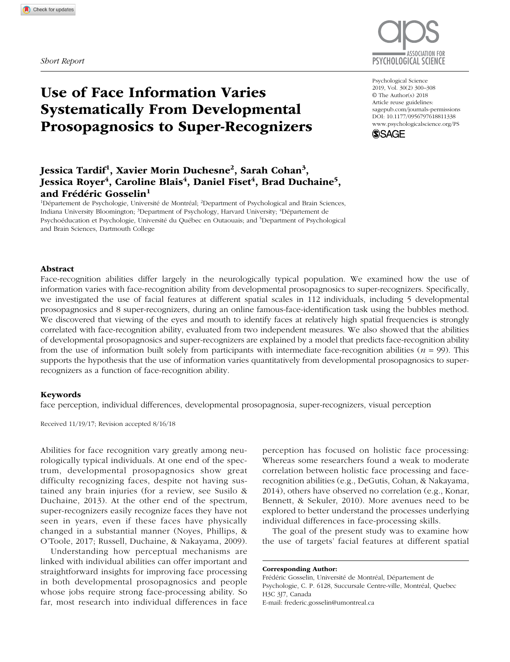

# Use of Face Information Varies Systematically From Developmental Prosopagnosics to Super-Recognizers

## Jessica Tardif<sup>1</sup>, Xavier Morin Duchesne<sup>2</sup>, Sarah Cohan<sup>3</sup>, Jessica Royer<sup>4</sup>, Caroline Blais<sup>4</sup>, Daniel Fiset<sup>4</sup>, Brad Duchaine<sup>5</sup>, and Frédéric Gosselin<sup>1</sup>

<sup>1</sup>Département de Psychologie, Université de Montréal; <sup>2</sup>Department of Psychological and Brain Sciences, Indiana University Bloomington; <sup>3</sup>Department of Psychology, Harvard University; <sup>4</sup>Département de Psychoéducation et Psychologie, Université du Québec en Outaouais; and <sup>5</sup>Department of Psychological and Brain Sciences, Dartmouth College

Abstract

Face-recognition abilities differ largely in the neurologically typical population. We examined how the use of information varies with face-recognition ability from developmental prosopagnosics to super-recognizers. Specifically, we investigated the use of facial features at different spatial scales in 112 individuals, including 5 developmental prosopagnosics and 8 super-recognizers, during an online famous-face-identification task using the bubbles method. We discovered that viewing of the eyes and mouth to identify faces at relatively high spatial frequencies is strongly correlated with face-recognition ability, evaluated from two independent measures. We also showed that the abilities of developmental prosopagnosics and super-recognizers are explained by a model that predicts face-recognition ability from the use of information built solely from participants with intermediate face-recognition abilities (*n* = 99). This supports the hypothesis that the use of information varies quantitatively from developmental prosopagnosics to superrecognizers as a function of face-recognition ability.

#### Keywords

face perception, individual differences, developmental prosopagnosia, super-recognizers, visual perception

Received 11/19/17; Revision accepted 8/16/18

Abilities for face recognition vary greatly among neurologically typical individuals. At one end of the spectrum, developmental prosopagnosics show great difficulty recognizing faces, despite not having sustained any brain injuries (for a review, see Susilo & Duchaine, 2013). At the other end of the spectrum, super-recognizers easily recognize faces they have not seen in years, even if these faces have physically changed in a substantial manner (Noyes, Phillips, & O'Toole, 2017; Russell, Duchaine, & Nakayama, 2009).

Understanding how perceptual mechanisms are linked with individual abilities can offer important and straightforward insights for improving face processing in both developmental prosopagnosics and people whose jobs require strong face-processing ability. So far, most research into individual differences in face

perception has focused on holistic face processing: Whereas some researchers found a weak to moderate correlation between holistic face processing and facerecognition abilities (e.g., DeGutis, Cohan, & Nakayama, 2014), others have observed no correlation (e.g., Konar, Bennett, & Sekuler, 2010). More avenues need to be explored to better understand the processes underlying individual differences in face-processing skills.

The goal of the present study was to examine how the use of targets' facial features at different spatial

Corresponding Author:

Frédéric Gosselin, Université de Montréal, Département de Psychologie, C. P. 6128, Succursale Centre-ville, Montréal, Quebec H3C 3J7, Canada E-mail: [frederic.gosselin@umontreal.ca](mailto:frederic.gosselin@umontreal.ca)

DOI: 10.1177/0956797618811338 Psychological Science 2019, Vol. 30(2) 300–308 © The Author(s) 2018 Article reuse guidelines: [sagepub.com/journals-permissions](https://sagepub.com/journals-permissions) [www.psychologicalscience.org/PS](http://www.psychologicalscience.org/ps)

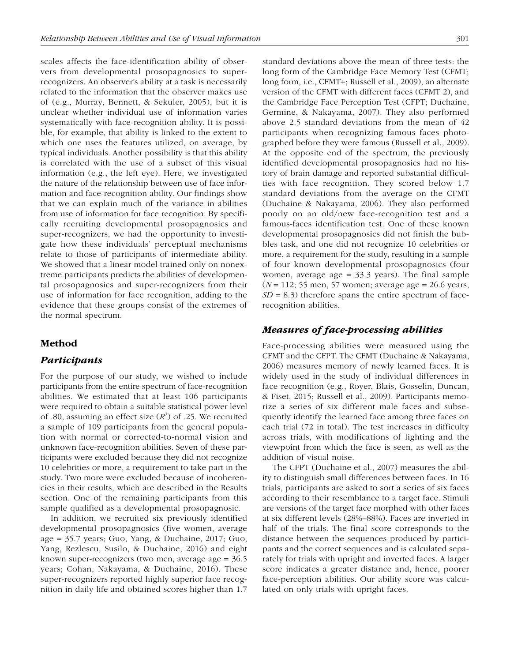scales affects the face-identification ability of observers from developmental prosopagnosics to superrecognizers. An observer's ability at a task is necessarily related to the information that the observer makes use of (e.g., Murray, Bennett, & Sekuler, 2005), but it is unclear whether individual use of information varies systematically with face-recognition ability. It is possible, for example, that ability is linked to the extent to which one uses the features utilized, on average, by typical individuals. Another possibility is that this ability is correlated with the use of a subset of this visual information (e.g., the left eye). Here, we investigated the nature of the relationship between use of face information and face-recognition ability. Our findings show that we can explain much of the variance in abilities from use of information for face recognition. By specifically recruiting developmental prosopagnosics and super-recognizers, we had the opportunity to investigate how these individuals' perceptual mechanisms relate to those of participants of intermediate ability. We showed that a linear model trained only on nonextreme participants predicts the abilities of developmental prosopagnosics and super-recognizers from their use of information for face recognition, adding to the evidence that these groups consist of the extremes of the normal spectrum.

## Method

## *Participants*

For the purpose of our study, we wished to include participants from the entire spectrum of face-recognition abilities. We estimated that at least 106 participants were required to obtain a suitable statistical power level of .80, assuming an effect size  $(R^2)$  of .25. We recruited a sample of 109 participants from the general population with normal or corrected-to-normal vision and unknown face-recognition abilities. Seven of these participants were excluded because they did not recognize 10 celebrities or more, a requirement to take part in the study. Two more were excluded because of incoherencies in their results, which are described in the Results section. One of the remaining participants from this sample qualified as a developmental prosopagnosic.

In addition, we recruited six previously identified developmental prosopagnosics (five women, average age = 35.7 years; Guo, Yang, & Duchaine, 2017; Guo, Yang, Rezlescu, Susilo, & Duchaine, 2016) and eight known super-recognizers (two men, average age = 36.5 years; Cohan, Nakayama, & Duchaine, 2016). These super-recognizers reported highly superior face recognition in daily life and obtained scores higher than 1.7 standard deviations above the mean of three tests: the long form of the Cambridge Face Memory Test (CFMT; long form, i.e., CFMT+; Russell et al., 2009), an alternate version of the CFMT with different faces (CFMT 2), and the Cambridge Face Perception Test (CFPT; Duchaine, Germine, & Nakayama, 2007). They also performed above 2.5 standard deviations from the mean of 42 participants when recognizing famous faces photographed before they were famous (Russell et al., 2009). At the opposite end of the spectrum, the previously identified developmental prosopagnosics had no history of brain damage and reported substantial difficulties with face recognition. They scored below 1.7 standard deviations from the average on the CFMT (Duchaine & Nakayama, 2006). They also performed poorly on an old/new face-recognition test and a famous-faces identification test. One of these known developmental prosopagnosics did not finish the bubbles task, and one did not recognize 10 celebrities or more, a requirement for the study, resulting in a sample of four known developmental prosopagnosics (four women, average age = 33.3 years). The final sample (*N* = 112; 55 men, 57 women; average age = 26.6 years,  $SD = 8.3$ ) therefore spans the entire spectrum of facerecognition abilities.

## *Measures of face-processing abilities*

Face-processing abilities were measured using the CFMT and the CFPT. The CFMT (Duchaine & Nakayama, 2006) measures memory of newly learned faces. It is widely used in the study of individual differences in face recognition (e.g., Royer, Blais, Gosselin, Duncan, & Fiset, 2015; Russell et al., 2009). Participants memorize a series of six different male faces and subsequently identify the learned face among three faces on each trial (72 in total). The test increases in difficulty across trials, with modifications of lighting and the viewpoint from which the face is seen, as well as the addition of visual noise.

The CFPT (Duchaine et al., 2007) measures the ability to distinguish small differences between faces. In 16 trials, participants are asked to sort a series of six faces according to their resemblance to a target face. Stimuli are versions of the target face morphed with other faces at six different levels (28%–88%). Faces are inverted in half of the trials. The final score corresponds to the distance between the sequences produced by participants and the correct sequences and is calculated separately for trials with upright and inverted faces. A larger score indicates a greater distance and, hence, poorer face-perception abilities. Our ability score was calculated on only trials with upright faces.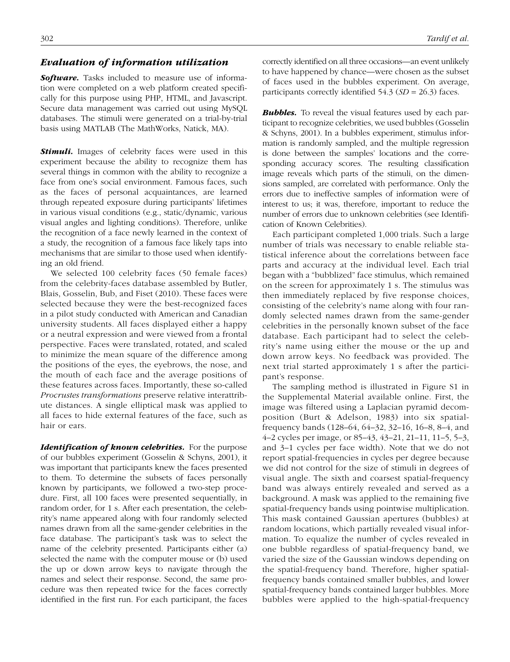## *Evaluation of information utilization*

*Software.* Tasks included to measure use of information were completed on a web platform created specifically for this purpose using PHP, HTML, and Javascript. Secure data management was carried out using MySQL databases. The stimuli were generated on a trial-by-trial basis using MATLAB (The MathWorks, Natick, MA).

**Stimuli.** Images of celebrity faces were used in this experiment because the ability to recognize them has several things in common with the ability to recognize a face from one's social environment. Famous faces, such as the faces of personal acquaintances, are learned through repeated exposure during participants' lifetimes in various visual conditions (e.g., static/dynamic, various visual angles and lighting conditions). Therefore, unlike the recognition of a face newly learned in the context of a study, the recognition of a famous face likely taps into mechanisms that are similar to those used when identifying an old friend.

We selected 100 celebrity faces (50 female faces) from the celebrity-faces database assembled by Butler, Blais, Gosselin, Bub, and Fiset (2010). These faces were selected because they were the best-recognized faces in a pilot study conducted with American and Canadian university students. All faces displayed either a happy or a neutral expression and were viewed from a frontal perspective. Faces were translated, rotated, and scaled to minimize the mean square of the difference among the positions of the eyes, the eyebrows, the nose, and the mouth of each face and the average positions of these features across faces. Importantly, these so-called *Procrustes transformations* preserve relative interattribute distances. A single elliptical mask was applied to all faces to hide external features of the face, such as hair or ears.

*Identification of known celebrities.* For the purpose of our bubbles experiment (Gosselin & Schyns, 2001), it was important that participants knew the faces presented to them. To determine the subsets of faces personally known by participants, we followed a two-step procedure. First, all 100 faces were presented sequentially, in random order, for 1 s. After each presentation, the celebrity's name appeared along with four randomly selected names drawn from all the same-gender celebrities in the face database. The participant's task was to select the name of the celebrity presented. Participants either (a) selected the name with the computer mouse or (b) used the up or down arrow keys to navigate through the names and select their response. Second, the same procedure was then repeated twice for the faces correctly identified in the first run. For each participant, the faces correctly identified on all three occasions—an event unlikely to have happened by chance—were chosen as the subset of faces used in the bubbles experiment. On average, participants correctly identified 54.3 (*SD* = 26.3) faces.

*Bubbles.* To reveal the visual features used by each participant to recognize celebrities, we used bubbles (Gosselin & Schyns, 2001). In a bubbles experiment, stimulus information is randomly sampled, and the multiple regression is done between the samples' locations and the corresponding accuracy scores. The resulting classification image reveals which parts of the stimuli, on the dimensions sampled, are correlated with performance. Only the errors due to ineffective samples of information were of interest to us; it was, therefore, important to reduce the number of errors due to unknown celebrities (see Identification of Known Celebrities).

Each participant completed 1,000 trials. Such a large number of trials was necessary to enable reliable statistical inference about the correlations between face parts and accuracy at the individual level. Each trial began with a "bubblized" face stimulus, which remained on the screen for approximately 1 s. The stimulus was then immediately replaced by five response choices, consisting of the celebrity's name along with four randomly selected names drawn from the same-gender celebrities in the personally known subset of the face database. Each participant had to select the celebrity's name using either the mouse or the up and down arrow keys. No feedback was provided. The next trial started approximately 1 s after the participant's response.

The sampling method is illustrated in Figure S1 in the Supplemental Material available online. First, the image was filtered using a Laplacian pyramid decomposition (Burt & Adelson, 1983) into six spatialfrequency bands (128–64, 64–32, 32–16, 16–8, 8–4, and 4–2 cycles per image, or 85–43, 43–21, 21–11, 11–5, 5–3, and 3–1 cycles per face width). Note that we do not report spatial-frequencies in cycles per degree because we did not control for the size of stimuli in degrees of visual angle. The sixth and coarsest spatial-frequency band was always entirely revealed and served as a background. A mask was applied to the remaining five spatial-frequency bands using pointwise multiplication. This mask contained Gaussian apertures (bubbles) at random locations, which partially revealed visual information. To equalize the number of cycles revealed in one bubble regardless of spatial-frequency band, we varied the size of the Gaussian windows depending on the spatial-frequency band. Therefore, higher spatialfrequency bands contained smaller bubbles, and lower spatial-frequency bands contained larger bubbles. More bubbles were applied to the high-spatial-frequency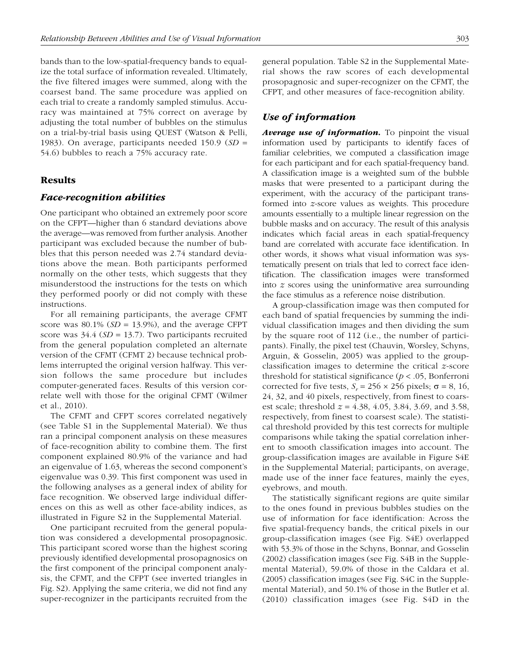bands than to the low-spatial-frequency bands to equalize the total surface of information revealed. Ultimately, the five filtered images were summed, along with the coarsest band. The same procedure was applied on each trial to create a randomly sampled stimulus. Accuracy was maintained at 75% correct on average by adjusting the total number of bubbles on the stimulus on a trial-by-trial basis using QUEST (Watson & Pelli, 1983). On average, participants needed 150.9 (*SD* = 54.6) bubbles to reach a 75% accuracy rate.

## Results

### *Face-recognition abilities*

One participant who obtained an extremely poor score on the CFPT—higher than 6 standard deviations above the average—was removed from further analysis. Another participant was excluded because the number of bubbles that this person needed was 2.74 standard deviations above the mean. Both participants performed normally on the other tests, which suggests that they misunderstood the instructions for the tests on which they performed poorly or did not comply with these instructions.

For all remaining participants, the average CFMT score was  $80.1\%$  (*SD* = 13.9%), and the average CFPT score was 34.4 (*SD* = 13.7). Two participants recruited from the general population completed an alternate version of the CFMT (CFMT 2) because technical problems interrupted the original version halfway. This version follows the same procedure but includes computer-generated faces. Results of this version correlate well with those for the original CFMT (Wilmer et al., 2010).

The CFMT and CFPT scores correlated negatively (see Table S1 in the Supplemental Material). We thus ran a principal component analysis on these measures of face-recognition ability to combine them. The first component explained 80.9% of the variance and had an eigenvalue of 1.63, whereas the second component's eigenvalue was 0.39. This first component was used in the following analyses as a general index of ability for face recognition. We observed large individual differences on this as well as other face-ability indices, as illustrated in Figure S2 in the Supplemental Material.

One participant recruited from the general population was considered a developmental prosopagnosic. This participant scored worse than the highest scoring previously identified developmental prosopagnosics on the first component of the principal component analysis, the CFMT, and the CFPT (see inverted triangles in Fig. S2). Applying the same criteria, we did not find any super-recognizer in the participants recruited from the general population. Table S2 in the Supplemental Material shows the raw scores of each developmental prosopagnosic and super-recognizer on the CFMT, the CFPT, and other measures of face-recognition ability.

## *Use of information*

*Average use of information.* To pinpoint the visual information used by participants to identify faces of familiar celebrities, we computed a classification image for each participant and for each spatial-frequency band. A classification image is a weighted sum of the bubble masks that were presented to a participant during the experiment, with the accuracy of the participant transformed into *z*-score values as weights. This procedure amounts essentially to a multiple linear regression on the bubble masks and on accuracy. The result of this analysis indicates which facial areas in each spatial-frequency band are correlated with accurate face identification. In other words, it shows what visual information was systematically present on trials that led to correct face identification. The classification images were transformed into *z* scores using the uninformative area surrounding the face stimulus as a reference noise distribution.

A group-classification image was then computed for each band of spatial frequencies by summing the individual classification images and then dividing the sum by the square root of 112 (i.e., the number of participants). Finally, the pixel test (Chauvin, Worsley, Schyns, Arguin, & Gosselin, 2005) was applied to the groupclassification images to determine the critical *z*-score threshold for statistical significance (*p* < .05, Bonferroni corrected for five tests,  $S_r = 256 \times 256$  pixels;  $\sigma = 8, 16$ , 24, 32, and 40 pixels, respectively, from finest to coarsest scale; threshold *z* = 4.38, 4.05, 3.84, 3.69, and 3.58, respectively, from finest to coarsest scale). The statistical threshold provided by this test corrects for multiple comparisons while taking the spatial correlation inherent to smooth classification images into account. The group-classification images are available in Figure S4E in the Supplemental Material; participants, on average, made use of the inner face features, mainly the eyes, eyebrows, and mouth.

The statistically significant regions are quite similar to the ones found in previous bubbles studies on the use of information for face identification: Across the five spatial-frequency bands, the critical pixels in our group-classification images (see Fig. S4E) overlapped with 53.3% of those in the Schyns, Bonnar, and Gosselin (2002) classification images (see Fig. S4B in the Supplemental Material), 59.0% of those in the Caldara et al. (2005) classification images (see Fig. S4C in the Supplemental Material), and 50.1% of those in the Butler et al. (2010) classification images (see Fig. S4D in the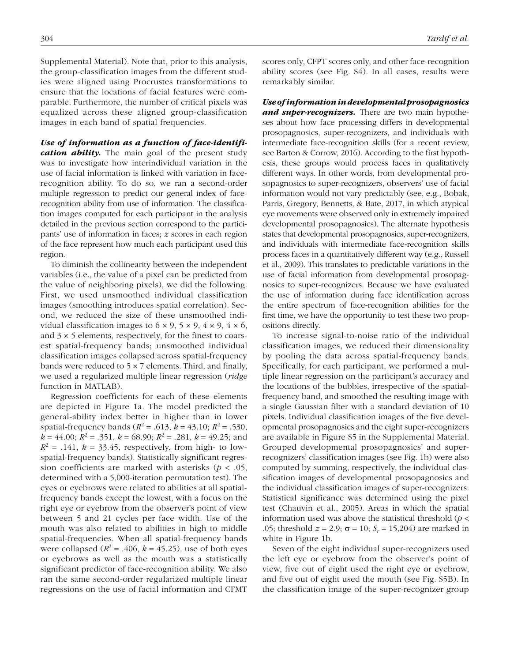Supplemental Material). Note that, prior to this analysis, the group-classification images from the different studies were aligned using Procrustes transformations to ensure that the locations of facial features were comparable. Furthermore, the number of critical pixels was equalized across these aligned group-classification images in each band of spatial frequencies.

*Use of information as a function of face-identification ability*. The main goal of the present study was to investigate how interindividual variation in the use of facial information is linked with variation in facerecognition ability. To do so, we ran a second-order multiple regression to predict our general index of facerecognition ability from use of information. The classification images computed for each participant in the analysis detailed in the previous section correspond to the participants' use of information in faces; *z* scores in each region of the face represent how much each participant used this region.

To diminish the collinearity between the independent variables (i.e., the value of a pixel can be predicted from the value of neighboring pixels), we did the following. First, we used unsmoothed individual classification images (smoothing introduces spatial correlation). Second, we reduced the size of these unsmoothed individual classification images to  $6 \times 9$ ,  $5 \times 9$ ,  $4 \times 9$ ,  $4 \times 6$ , and  $3 \times 5$  elements, respectively, for the finest to coarsest spatial-frequency bands; unsmoothed individual classification images collapsed across spatial-frequency bands were reduced to  $5 \times 7$  elements. Third, and finally, we used a regularized multiple linear regression (*ridge* function in MATLAB).

Regression coefficients for each of these elements are depicted in Figure 1a. The model predicted the general-ability index better in higher than in lower spatial-frequency bands ( $R^2$  = .613,  $k = 43.10$ ;  $R^2$  = .530,  $k = 44.00$ ;  $R^2 = .351$ ,  $k = 68.90$ ;  $R^2 = .281$ ,  $k = 49.25$ ; and  $R^2$  = .141,  $k = 33.45$ , respectively, from high- to lowspatial-frequency bands). Statistically significant regression coefficients are marked with asterisks (*p* < .05, determined with a 5,000-iteration permutation test). The eyes or eyebrows were related to abilities at all spatialfrequency bands except the lowest, with a focus on the right eye or eyebrow from the observer's point of view between 5 and 21 cycles per face width. Use of the mouth was also related to abilities in high to middle spatial-frequencies. When all spatial-frequency bands were collapsed  $(R^2 = .406, k = 45.25)$ , use of both eyes or eyebrows as well as the mouth was a statistically significant predictor of face-recognition ability. We also ran the same second-order regularized multiple linear regressions on the use of facial information and CFMT scores only, CFPT scores only, and other face-recognition ability scores (see Fig. S4). In all cases, results were remarkably similar.

*Use of information in developmental prosopagnosics and super-recognizers.* There are two main hypotheses about how face processing differs in developmental prosopagnosics, super-recognizers, and individuals with intermediate face-recognition skills (for a recent review, see Barton & Corrow, 2016). According to the first hypothesis, these groups would process faces in qualitatively different ways. In other words, from developmental prosopagnosics to super-recognizers, observers' use of facial information would not vary predictably (see, e.g., Bobak, Parris, Gregory, Bennetts, & Bate, 2017, in which atypical eye movements were observed only in extremely impaired developmental prosopagnosics). The alternate hypothesis states that developmental prosopagnosics, super-recognizers, and individuals with intermediate face-recognition skills process faces in a quantitatively different way (e.g., Russell et al., 2009). This translates to predictable variations in the use of facial information from developmental prosopagnosics to super-recognizers. Because we have evaluated the use of information during face identification across the entire spectrum of face-recognition abilities for the first time, we have the opportunity to test these two propositions directly.

To increase signal-to-noise ratio of the individual classification images, we reduced their dimensionality by pooling the data across spatial-frequency bands. Specifically, for each participant, we performed a multiple linear regression on the participant's accuracy and the locations of the bubbles, irrespective of the spatialfrequency band, and smoothed the resulting image with a single Gaussian filter with a standard deviation of 10 pixels. Individual classification images of the five developmental prosopagnosics and the eight super-recognizers are available in Figure S5 in the Supplemental Material. Grouped developmental prosopagnosics' and superrecognizers' classification images (see Fig. 1b) were also computed by summing, respectively, the individual classification images of developmental prosopagnosics and the individual classification images of super-recognizers. Statistical significance was determined using the pixel test (Chauvin et al., 2005). Areas in which the spatial information used was above the statistical threshold (*p* < .05; threshold  $z = 2.9$ ;  $σ = 10$ ;  $S_r = 15,204$ ) are marked in white in Figure 1b.

Seven of the eight individual super-recognizers used the left eye or eyebrow from the observer's point of view, five out of eight used the right eye or eyebrow, and five out of eight used the mouth (see Fig. S5B). In the classification image of the super-recognizer group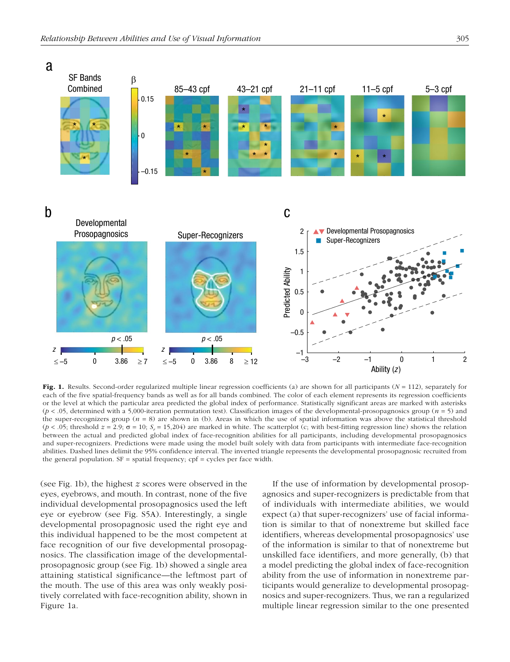

Fig. 1. Results. Second-order regularized multiple linear regression coefficients (a) are shown for all participants (*N* = 112), separately for each of the five spatial-frequency bands as well as for all bands combined. The color of each element represents its regression coefficients or the level at which the particular area predicted the global index of performance. Statistically significant areas are marked with asterisks (*p* < .05, determined with a 5,000-iteration permutation test). Classification images of the developmental-prosopagnosics group (*n* = 5) and the super-recognizers group  $(n = 8)$  are shown in (b). Areas in which the use of spatial information was above the statistical threshold  $(p < .05$ ; threshold  $z = 2.9$ ;  $\sigma = 10$ ;  $S_r = 15,204$ ) are marked in white. The scatterplot (c; with best-fitting regression line) shows the relation between the actual and predicted global index of face-recognition abilities for all participants, including developmental prosopagnosics and super-recognizers. Predictions were made using the model built solely with data from participants with intermediate face-recognition abilities. Dashed lines delimit the 95% confidence interval. The inverted triangle represents the developmental prosopagnosic recruited from the general population.  $SF = spatial frequency$ ;  $cpf = cycles$  per face width.

(see Fig. 1b), the highest *z* scores were observed in the eyes, eyebrows, and mouth. In contrast, none of the five individual developmental prosopagnosics used the left eye or eyebrow (see Fig. S5A). Interestingly, a single developmental prosopagnosic used the right eye and this individual happened to be the most competent at face recognition of our five developmental prosopagnosics. The classification image of the developmentalprosopagnosic group (see Fig. 1b) showed a single area attaining statistical significance—the leftmost part of the mouth. The use of this area was only weakly positively correlated with face-recognition ability, shown in Figure 1a.

If the use of information by developmental prosopagnosics and super-recognizers is predictable from that of individuals with intermediate abilities, we would expect (a) that super-recognizers' use of facial information is similar to that of nonextreme but skilled face identifiers, whereas developmental prosopagnosics' use of the information is similar to that of nonextreme but unskilled face identifiers, and more generally, (b) that a model predicting the global index of face-recognition ability from the use of information in nonextreme participants would generalize to developmental prosopagnosics and super-recognizers. Thus, we ran a regularized multiple linear regression similar to the one presented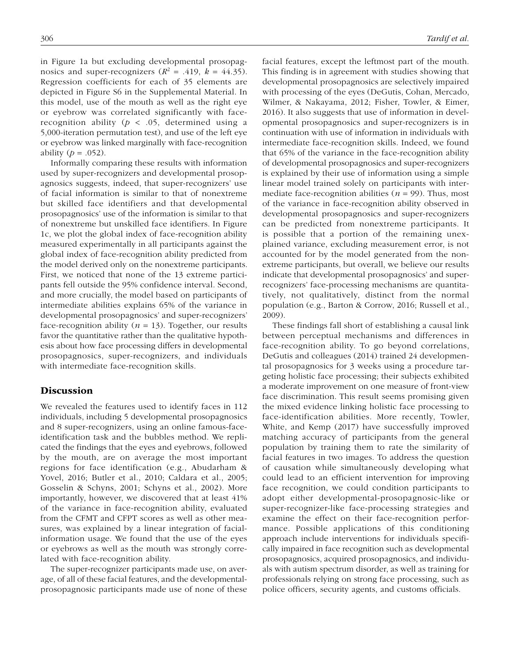in Figure 1a but excluding developmental prosopagnosics and super-recognizers  $(R^2 = .419, k = 44.35)$ . Regression coefficients for each of 35 elements are depicted in Figure S6 in the Supplemental Material. In this model, use of the mouth as well as the right eye or eyebrow was correlated significantly with facerecognition ability ( $p < .05$ , determined using a 5,000-iteration permutation test), and use of the left eye or eyebrow was linked marginally with face-recognition ability  $(p = .052)$ .

Informally comparing these results with information used by super-recognizers and developmental prosopagnosics suggests, indeed, that super-recognizers' use of facial information is similar to that of nonextreme but skilled face identifiers and that developmental prosopagnosics' use of the information is similar to that of nonextreme but unskilled face identifiers. In Figure 1c, we plot the global index of face-recognition ability measured experimentally in all participants against the global index of face-recognition ability predicted from the model derived only on the nonextreme participants. First, we noticed that none of the 13 extreme participants fell outside the 95% confidence interval. Second, and more crucially, the model based on participants of intermediate abilities explains 65% of the variance in developmental prosopagnosics' and super-recognizers' face-recognition ability  $(n = 13)$ . Together, our results favor the quantitative rather than the qualitative hypothesis about how face processing differs in developmental prosopagnosics, super-recognizers, and individuals with intermediate face-recognition skills.

## **Discussion**

We revealed the features used to identify faces in 112 individuals, including 5 developmental prosopagnosics and 8 super-recognizers, using an online famous-faceidentification task and the bubbles method. We replicated the findings that the eyes and eyebrows, followed by the mouth, are on average the most important regions for face identification (e.g., Abudarham & Yovel, 2016; Butler et al., 2010; Caldara et al., 2005; Gosselin & Schyns, 2001; Schyns et al., 2002). More importantly, however, we discovered that at least 41% of the variance in face-recognition ability, evaluated from the CFMT and CFPT scores as well as other measures, was explained by a linear integration of facialinformation usage. We found that the use of the eyes or eyebrows as well as the mouth was strongly correlated with face-recognition ability.

The super-recognizer participants made use, on average, of all of these facial features, and the developmentalprosopagnosic participants made use of none of these facial features, except the leftmost part of the mouth. This finding is in agreement with studies showing that developmental prosopagnosics are selectively impaired with processing of the eyes (DeGutis, Cohan, Mercado, Wilmer, & Nakayama, 2012; Fisher, Towler, & Eimer, 2016). It also suggests that use of information in developmental prosopagnosics and super-recognizers is in continuation with use of information in individuals with intermediate face-recognition skills. Indeed, we found that 65% of the variance in the face-recognition ability of developmental prosopagnosics and super-recognizers is explained by their use of information using a simple linear model trained solely on participants with intermediate face-recognition abilities  $(n = 99)$ . Thus, most of the variance in face-recognition ability observed in developmental prosopagnosics and super-recognizers can be predicted from nonextreme participants. It is possible that a portion of the remaining unexplained variance, excluding measurement error, is not accounted for by the model generated from the nonextreme participants, but overall, we believe our results indicate that developmental prosopagnosics' and superrecognizers' face-processing mechanisms are quantitatively, not qualitatively, distinct from the normal population (e.g., Barton & Corrow, 2016; Russell et al., 2009).

These findings fall short of establishing a causal link between perceptual mechanisms and differences in face-recognition ability. To go beyond correlations, DeGutis and colleagues (2014) trained 24 developmental prosopagnosics for 3 weeks using a procedure targeting holistic face processing; their subjects exhibited a moderate improvement on one measure of front-view face discrimination. This result seems promising given the mixed evidence linking holistic face processing to face-identification abilities. More recently, Towler, White, and Kemp (2017) have successfully improved matching accuracy of participants from the general population by training them to rate the similarity of facial features in two images. To address the question of causation while simultaneously developing what could lead to an efficient intervention for improving face recognition, we could condition participants to adopt either developmental-prosopagnosic-like or super-recognizer-like face-processing strategies and examine the effect on their face-recognition performance. Possible applications of this conditioning approach include interventions for individuals specifically impaired in face recognition such as developmental prosopagnosics, acquired prosopagnosics, and individuals with autism spectrum disorder, as well as training for professionals relying on strong face processing, such as police officers, security agents, and customs officials.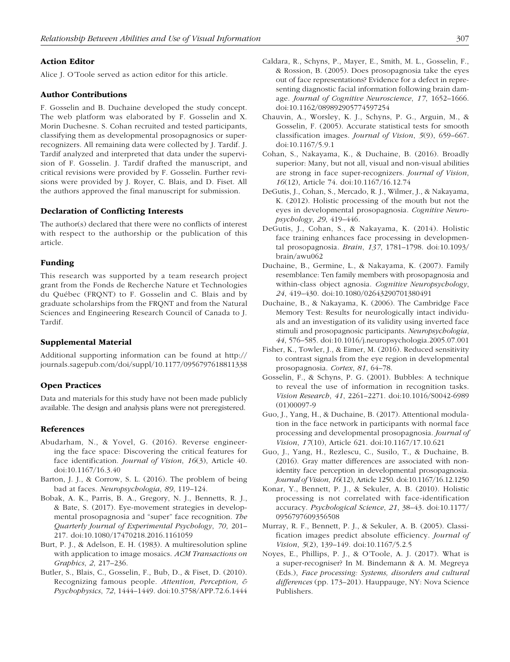### Action Editor

Alice J. O'Toole served as action editor for this article.

#### Author Contributions

F. Gosselin and B. Duchaine developed the study concept. The web platform was elaborated by F. Gosselin and X. Morin Duchesne. S. Cohan recruited and tested participants, classifying them as developmental prosopagnosics or superrecognizers. All remaining data were collected by J. Tardif. J. Tardif analyzed and interpreted that data under the supervision of F. Gosselin. J. Tardif drafted the manuscript, and critical revisions were provided by F. Gosselin. Further revisions were provided by J. Royer, C. Blais, and D. Fiset. All the authors approved the final manuscript for submission.

#### Declaration of Conflicting Interests

The author(s) declared that there were no conflicts of interest with respect to the authorship or the publication of this article.

## Funding

This research was supported by a team research project grant from the Fonds de Recherche Nature et Technologies du Québec (FRQNT) to F. Gosselin and C. Blais and by graduate scholarships from the FRQNT and from the Natural Sciences and Engineering Research Council of Canada to J. Tardif.

#### Supplemental Material

Additional supporting information can be found at [http://](http://journals.sagepub.com/doi/suppl/10.1177/0956797618811338) [journals.sagepub.com/doi/suppl/10.1177/0956797618811338](http://journals.sagepub.com/doi/suppl/10.1177/0956797618811338)

#### Open Practices

Data and materials for this study have not been made publicly available. The design and analysis plans were not preregistered.

#### References

- Abudarham, N., & Yovel, G. (2016). Reverse engineering the face space: Discovering the critical features for face identification. *Journal of Vision*, *16*(3), Article 40. doi:10.1167/16.3.40
- Barton, J. J., & Corrow, S. L. (2016). The problem of being bad at faces. *Neuropsychologia*, *89*, 119–124.
- Bobak, A. K., Parris, B. A., Gregory, N. J., Bennetts, R. J., & Bate, S. (2017). Eye-movement strategies in developmental prosopagnosia and "super" face recognition. *The Quarterly Journal of Experimental Psychology*, *70*, 201– 217. doi:10.1080/17470218.2016.1161059
- Burt, P. J., & Adelson, E. H. (1983). A multiresolution spline with application to image mosaics. *ACM Transactions on Graphics*, *2*, 217–236.
- Butler, S., Blais, C., Gosselin, F., Bub, D., & Fiset, D. (2010). Recognizing famous people. *Attention, Perception, & Psychophysics*, *72*, 1444–1449. doi:10.3758/APP.72.6.1444
- Caldara, R., Schyns, P., Mayer, E., Smith, M. L., Gosselin, F., & Rossion, B. (2005). Does prosopagnosia take the eyes out of face representations? Evidence for a defect in representing diagnostic facial information following brain damage. *Journal of Cognitive Neuroscience*, *17*, 1652–1666. doi:10.1162/089892905774597254
- Chauvin, A., Worsley, K. J., Schyns, P. G., Arguin, M., & Gosselin, F. (2005). Accurate statistical tests for smooth classification images. *Journal of Vision*, *5*(9), 659–667. doi:10.1167/5.9.1
- Cohan, S., Nakayama, K., & Duchaine, B. (2016). Broadly superior: Many, but not all, visual and non-visual abilities are strong in face super-recognizers. *Journal of Vision*, *16*(12), Article 74. doi:10.1167/16.12.74
- DeGutis, J., Cohan, S., Mercado, R. J., Wilmer, J., & Nakayama, K. (2012). Holistic processing of the mouth but not the eyes in developmental prosopagnosia. *Cognitive Neuropsychology*, *29*, 419–446.
- DeGutis, J., Cohan, S., & Nakayama, K. (2014). Holistic face training enhances face processing in developmental prosopagnosia. *Brain*, *137*, 1781–1798. doi:10.1093/ brain/awu062
- Duchaine, B., Germine, L., & Nakayama, K. (2007). Family resemblance: Ten family members with prosopagnosia and within-class object agnosia. *Cognitive Neuropsychology*, *24*, 419–430. doi:10.1080/02643290701380491
- Duchaine, B., & Nakayama, K. (2006). The Cambridge Face Memory Test: Results for neurologically intact individuals and an investigation of its validity using inverted face stimuli and prosopagnosic participants. *Neuropsychologia*, *44*, 576–585. doi:10.1016/j.neuropsychologia.2005.07.001
- Fisher, K., Towler, J., & Eimer, M. (2016). Reduced sensitivity to contrast signals from the eye region in developmental prosopagnosia. *Cortex*, *81*, 64–78.
- Gosselin, F., & Schyns, P. G. (2001). Bubbles: A technique to reveal the use of information in recognition tasks. *Vision Research*, *41*, 2261–2271. doi:10.1016/S0042-6989 (01)00097-9
- Guo, J., Yang, H., & Duchaine, B. (2017). Attentional modulation in the face network in participants with normal face processing and developmental prosopagnosia. *Journal of Vision*, *17*(10), Article 621. doi:10.1167/17.10.621
- Guo, J., Yang, H., Rezlescu, C., Susilo, T., & Duchaine, B. (2016). Gray matter differences are associated with nonidentity face perception in developmental prosopagnosia. *Journal of Vision*, *16*(12), Article 1250. doi:10.1167/16.12.1250
- Konar, Y., Bennett, P. J., & Sekuler, A. B. (2010). Holistic processing is not correlated with face-identification accuracy. *Psychological Science*, *21*, 38–43. doi:10.1177/ 0956797609356508
- Murray, R. F., Bennett, P. J., & Sekuler, A. B. (2005). Classification images predict absolute efficiency. *Journal of Vision*, *5*(2), 139–149. doi:10.1167/5.2.5
- Noyes, E., Phillips, P. J., & O'Toole, A. J. (2017). What is a super-recogniser? In M. Bindemann & A. M. Megreya (Eds.), *Face processing: Systems, disorders and cultural differences* (pp. 173–201). Hauppauge, NY: Nova Science Publishers.